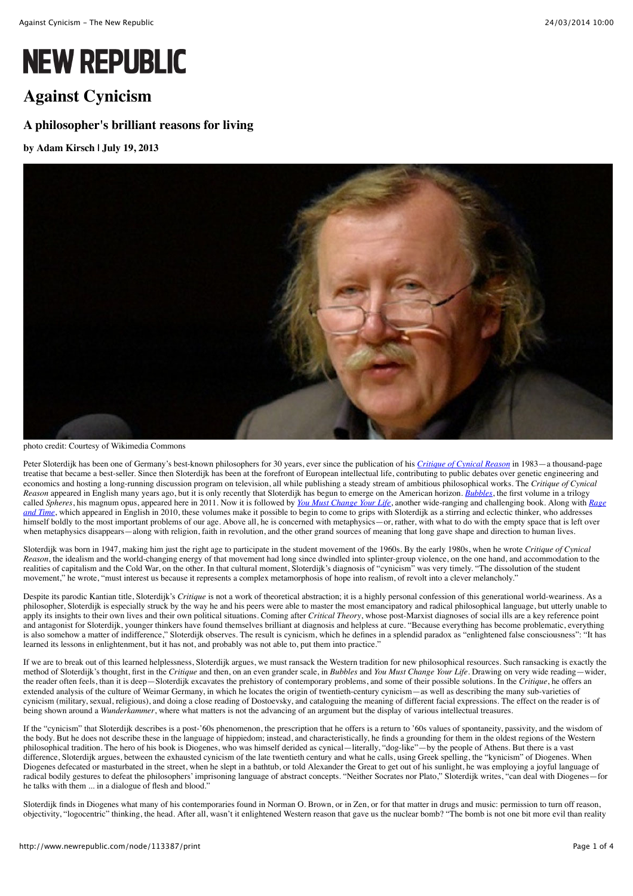

## **Against Cynicism**

## **A philosopher's brilliant reasons for living**

**by [Adam Kirsch](http://www.newrepublic.com/authors/adam-kirsch) | July 19, 2013**



photo credit: Courtesy of Wikimedia Commons

Peter Sloterdijk has been one of Germany's best-known philosophers for 30 years, ever since the publication of his *[Critique of Cynical Reason](https://www.amazon.com/dp/0816615861/ref=as_li_qf_sp_asin_til?tag=thenewrep08-20&camp=0&creative=0&linkCode=as1&creativeASIN=0816615861&adid=1SG7FGBAZ2V78KPRHR5M&)* in 1983—a thousand-page treatise that became a best-seller. Since then Sloterdijk has been at the forefront of European intellectual life, contributing to public debates over genetic engineering and economics and hosting a long-running discussion program on television, all while publishing a steady stream of ambitious philosophical works. The *Critique of Cynical Reason* appeared in English many years ago, but it is only recently that Sloterdijk has begun to emerge on the American horizon. *[Bubbles](https://www.amazon.com/dp/1584351047/ref=as_li_qf_sp_asin_til?tag=thenewrep08-20&camp=0&creative=0&linkCode=as1&creativeASIN=1584351047&adid=0EDHQ56S1P6RMNPBV5ZA&)*, the first volume in a trilogy called *Spheres*, his magnum opus, appeared here in 2011. Now it is followed by *[You Must Change Your Life](https://www.amazon.com/dp/0745649211/ref=as_li_qf_sp_asin_til?tag=thenewrep08-20&camp=0&creative=0&linkCode=as1&creativeASIN=0745649211&adid=0SWEZEMH68SHKMPEC0F2&)*, another wide-ranging and challenging book. Along with *Rage* and Time[, which appeared in English in 2010, these volumes make it possible to begin to come to grips with Sloterdijk as a stirring and eclectic thinker, who addresses](https://www.amazon.com/dp/0231145233/ref=as_li_qf_sp_asin_til?tag=thenewrep08-20&camp=0&creative=0&linkCode=as1&creativeASIN=0231145233&adid=1BEJ7MJEZT4PMV42XAQK&) himself boldly to the most important problems of our age. Above all, he is concerned with metaphysics—or, rather, with what to do with the empty space that is left over when metaphysics disappears—along with religion, faith in revolution, and the other grand sources of meaning that long gave shape and direction to human lives.

Sloterdijk was born in 1947, making him just the right age to participate in the student movement of the 1960s. By the early 1980s, when he wrote *Critique of Cynical Reason*, the idealism and the world-changing energy of that movement had long since dwindled into splinter-group violence, on the one hand, and accommodation to the realities of capitalism and the Cold War, on the other. In that cultural moment, Sloterdijk's diagnosis of "cynicism" was very timely. "The dissolution of the student movement," he wrote, "must interest us because it represents a complex metamorphosis of hope into realism, of revolt into a clever melancholy."

Despite its parodic Kantian title, Sloterdijk's *Critique* is not a work of theoretical abstraction; it is a highly personal confession of this generational world-weariness. As a philosopher, Sloterdijk is especially struck by the way he and his peers were able to master the most emancipatory and radical philosophical language, but utterly unable to apply its insights to their own lives and their own political situations. Coming after *Critical Theory*, whose post-Marxist diagnoses of social ills are a key reference point and antagonist for Sloterdijk, younger thinkers have found themselves brilliant at diagnosis and helpless at cure. "Because everything has become problematic, everything is also somehow a matter of indifference," Sloterdijk observes. The result is cynicism, which he defines in a splendid paradox as "enlightened false consciousness": "It has learned its lessons in enlightenment, but it has not, and probably was not able to, put them into practice."

If we are to break out of this learned helplessness, Sloterdijk argues, we must ransack the Western tradition for new philosophical resources. Such ransacking is exactly the method of Sloterdijk's thought, first in the *Critique* and then, on an even grander scale, in *Bubbles* and *You Must Change Your Life*. Drawing on very wide reading—wider, the reader often feels, than it is deep—Sloterdijk excavates the prehistory of contemporary problems, and some of their possible solutions. In the *Critique*, he offers an extended analysis of the culture of Weimar Germany, in which he locates the origin of twentieth-century cynicism—as well as describing the many sub-varieties of cynicism (military, sexual, religious), and doing a close reading of Dostoevsky, and cataloguing the meaning of different facial expressions. The effect on the reader is of being shown around a *Wunderkammer*, where what matters is not the advancing of an argument but the display of various intellectual treasures.

If the "cynicism" that Sloterdijk describes is a post-'60s phenomenon, the prescription that he offers is a return to '60s values of spontaneity, passivity, and the wisdom of the body. But he does not describe these in the language of hippiedom; instead, and characteristically, he finds a grounding for them in the oldest regions of the Western philosophical tradition. The hero of his book is Diogenes, who was himself derided as cynical—literally, "dog-like"—by the people of Athens. But there is a vast difference, Sloterdijk argues, between the exhausted cynicism of the late twentieth century and what he calls, using Greek spelling, the "kynicism" of Diogenes. When Diogenes defecated or masturbated in the street, when he slept in a bathtub, or told Alexander the Great to get out of his sunlight, he was employing a joyful language of radical bodily gestures to defeat the philosophers' imprisoning language of abstract concepts. "Neither Socrates nor Plato," Sloterdijk writes, "can deal with Diogenes—for he talks with them ... in a dialogue of flesh and blood.'

Sloterdijk finds in Diogenes what many of his contemporaries found in Norman O. Brown, or in Zen, or for that matter in drugs and music: permission to turn off reason, objectivity, "logocentric" thinking, the head. After all, wasn't it enlightened Western reason that gave us the nuclear bomb? "The bomb is not one bit more evil than reality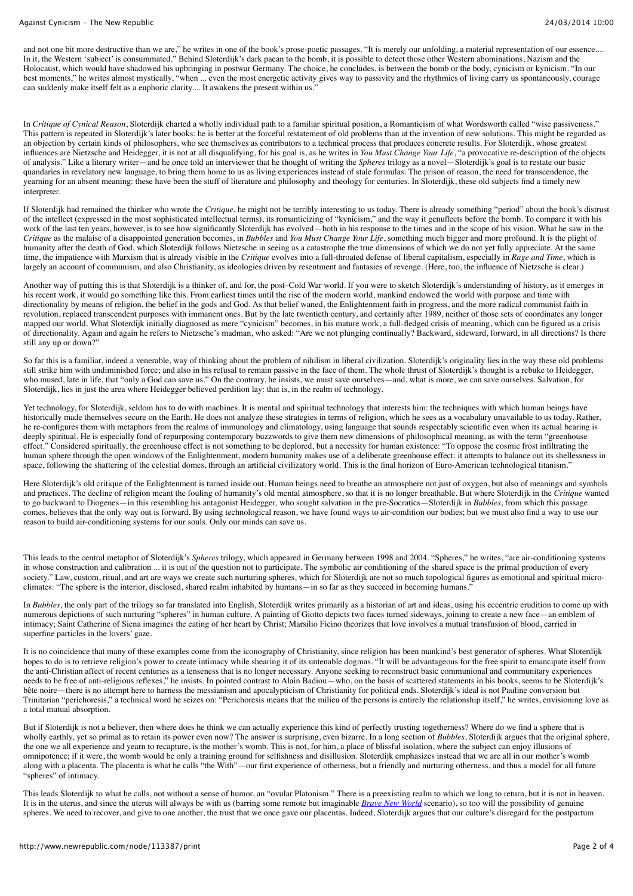and not one bit more destructive than we are," he writes in one of the book's prose-poetic passages. "It is merely our unfolding, a material representation of our essence.... In it, the Western 'subject' is consummated." Behind Sloterdijk's dark paean to the bomb, it is possible to detect those other Western abominations, Nazism and the Holocaust, which would have shadowed his upbringing in postwar Germany. The choice, he concludes, is between the bomb or the body, cynicism or kynicism. "In our best moments," he writes almost mystically, "when ... even the most energetic activity gives way to passivity and the rhythmics of living carry us spontaneously, courage can suddenly make itself felt as a euphoric clarity.... It awakens the present within us."

In *Critique of Cynical Reason*, Sloterdijk charted a wholly individual path to a familiar spiritual position, a Romanticism of what Wordsworth called "wise passiveness." This pattern is repeated in Sloterdijk's later books: he is better at the forceful restatement of old problems than at the invention of new solutions. This might be regarded as an objection by certain kinds of philosophers, who see themselves as contributors to a technical process that produces concrete results. For Sloterdijk, whose greatest influences are Nietzsche and Heidegger, it is not at all disqualifying, for his goal is, as he writes in *You Must Change Your Life*, "a provocative re-description of the objects of analysis." Like a literary writer—and he once told an interviewer that he thought of writing the *Spheres* trilogy as a novel—Sloterdijk's goal is to restate our basic quandaries in revelatory new language, to bring them home to us as living experiences instead of stale formulas. The prison of reason, the need for transcendence, the yearning for an absent meaning: these have been the stuff of literature and philosophy and theology for centuries. In Sloterdijk, these old subjects find a timely new .<br>interpreter.

If Sloterdijk had remained the thinker who wrote the *Critique*, he might not be terribly interesting to us today. There is already something "period" about the book's distrust of the intellect (expressed in the most sophisticated intellectual terms), its romanticizing of "kynicism," and the way it genuflects before the bomb. To compare it with his work of the last ten years, however, is to see how significantly Sloterdijk has evolved—both in his response to the times and in the scope of his vision. What he saw in the *Critique* as the malaise of a disappointed generation becomes, in *Bubbles* and *You Must Change Your Life*, something much bigger and more profound. It is the plight of humanity after the death of God, which Sloterdijk follows Nietzsche in seeing as a catastrophe the true dimensions of which we do not yet fully appreciate. At the same time, the impatience with Marxism that is already visible in the *Critique* evolves into a full-throated defense of liberal capitalism, especially in *Rage and Time*, which is largely an account of communism, and also Christianity, as ideologies driven by resentment and fantasies of revenge. (Here, too, the influence of Nietzsche is clear.)

Another way of putting this is that Sloterdijk is a thinker of, and for, the post–Cold War world. If you were to sketch Sloterdijk's understanding of history, as it emerges in his recent work, it would go something like this. From earliest times until the rise of the modern world, mankind endowed the world with purpose and time with directionality by means of religion, the belief in the gods and God. As that belief waned, the Enlightenment faith in progress, and the more radical communist faith in revolution, replaced transcendent purposes with immanent ones. But by the late twentieth century, and certainly after 1989, neither of those sets of coordinates any longer mapped our world. What Sloterdijk initially diagnosed as mere "cynicism" becomes, in his mature work, a full-fledged crisis of meaning, which can be figured as a crisis of directionality. Again and again he refers to Nietzsche's madman, who asked: "Are we not plunging continually? Backward, sideward, forward, in all directions? Is there still any up or down?"

So far this is a familiar, indeed a venerable, way of thinking about the problem of nihilism in liberal civilization. Sloterdijk's originality lies in the way these old problems still strike him with undiminished force; and also in his refusal to remain passive in the face of them. The whole thrust of Sloterdijk's thought is a rebuke to Heidegger, who mused, late in life, that "only a God can save us." On the contrary, he insists, we must save ourselves—and, what is more, we can save ourselves. Salvation, for Sloterdijk, lies in just the area where Heidegger believed perdition lay: that is, in the realm of technology.

Yet technology, for Sloterdijk, seldom has to do with machines. It is mental and spiritual technology that interests him: the techniques with which human beings have historically made themselves secure on the Earth. He does not analyze these strategies in terms of religion, which he sees as a vocabulary unavailable to us today. Rather, he re-configures them with metaphors from the realms of immunology and climatology, using language that sounds respectably scientific even when its actual bearing is deeply spiritual. He is especially fond of repurposing contemporary buzzwords to give them new dimensions of philosophical meaning, as with the term "greenhouse effect." Considered spiritually, the greenhouse effect is not something to be deplored, but a necessity for human existence: "To oppose the cosmic frost infiltrating the human sphere through the open windows of the Enlightenment, modern humanity makes use of a deliberate greenhouse effect: it attempts to balance out its shellessness in space, following the shattering of the celestial domes, through an artificial civilizatory world. This is the final horizon of Euro-American technological titanism."

Here Sloterdijk's old critique of the Enlightenment is turned inside out. Human beings need to breathe an atmosphere not just of oxygen, but also of meanings and symbols and practices. The decline of religion meant the fouling of humanity's old mental atmosphere, so that it is no longer breathable. But where Sloterdijk in the *Critique* wanted to go backward to Diogenes—in this resembling his antagonist Heidegger, who sought salvation in the pre-Socratics—Sloterdijk in *Bubbles*, from which this passage comes, believes that the only way out is forward. By using technological reason, we have found ways to air-condition our bodies; but we must also find a way to use our reason to build air-conditioning systems for our souls. Only our minds can save us.

This leads to the central metaphor of Sloterdijk's *Spheres* trilogy, which appeared in Germany between 1998 and 2004. "Spheres," he writes, "are air-conditioning systems in whose construction and calibration ... it is out of the question not to participate. The symbolic air conditioning of the shared space is the primal production of every society." Law, custom, ritual, and art are ways we create such nurturing spheres, which for Sloterdijk are not so much topological figures as emotional and spiritual microclimates: "The sphere is the interior, disclosed, shared realm inhabited by humans—in so far as they succeed in becoming humans."

In *Bubbles*, the only part of the trilogy so far translated into English, Sloterdijk writes primarily as a historian of art and ideas, using his eccentric erudition to come up with numerous depictions of such nurturing "spheres" in human culture. A painting of Giotto depicts two faces turned sideways, joining to create a new face—an emblem of intimacy; Saint Catherine of Siena imagines the eating of her heart by Christ; Marsilio Ficino theorizes that love involves a mutual transfusion of blood, carried in superfine particles in the lovers' gaze.

It is no coincidence that many of these examples come from the iconography of Christianity, since religion has been mankind's best generator of spheres. What Sloterdijk hopes to do is to retrieve religion's power to create intimacy while shearing it of its untenable dogmas. "It will be advantageous for the free spirit to emancipate itself from the anti-Christian affect of recent centuries as a tenseness that is no longer necessary. Anyone seeking to reconstruct basic communional and communitary experiences needs to be free of anti-religious reflexes," he insists. In pointed contrast to Alain Badiou—who, on the basis of scattered statements in his books, seems to be Sloterdijk's bête noire—there is no attempt here to harness the messianism and apocalypticism of Christianity for political ends. Sloterdijk's ideal is not Pauline conversion but Trinitarian "perichoresis," a technical word he seizes on: "Perichoresis means that the milieu of the persons is entirely the relationship itself," he writes, envisioning love as a total mutual absorption.

But if Sloterdijk is not a believer, then where does he think we can actually experience this kind of perfectly trusting togetherness? Where do we find a sphere that is wholly earthly, yet so primal as to retain its power even now? The answer is surprising, even bizarre. In a long section of *Bubbles*, Sloterdijk argues that the original sphere, the one we all experience and yearn to recapture, is the mother's womb. This is not, for him, a place of blissful isolation, where the subject can enjoy illusions of omnipotence; if it were, the womb would be only a training ground for selfishness and disillusion. Sloterdijk emphasizes instead that we are all in our mother's womb along with a placenta. The placenta is what he calls "the With"—our first experience of otherness, but a friendly and nurturing otherness, and thus a model for all future "spheres" of intimacy.

This leads Sloterdijk to what he calls, not without a sense of humor, an "ovular Platonism." There is a preexisting realm to which we long to return, but it is not in heaven. It is in the uterus, and since the uterus will always be with us (barring some remote but imaginable *[Brave New World](https://www.amazon.com/dp/0061767646/ref=as_li_qf_sp_asin_til?tag=thenewrep08-20&camp=0&creative=0&linkCode=as1&creativeASIN=0061767646&adid=14FREH8GKSHM510CEJP0&)* scenario), so too will the possibility of genuine spheres. We need to recover, and give to one another, the trust that we once gave our placentas. Indeed, Sloterdijk argues that our culture's disregard for the postpartum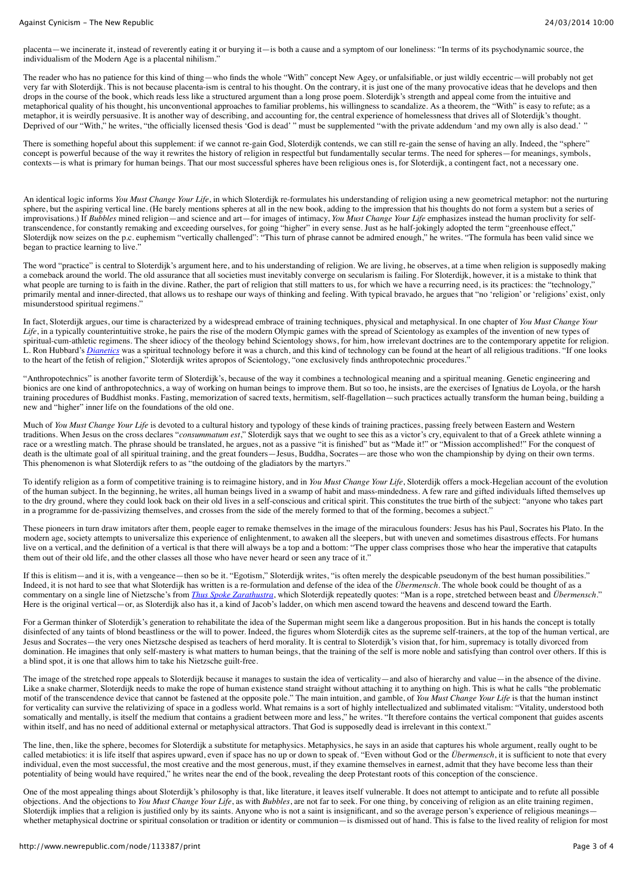placenta—we incinerate it, instead of reverently eating it or burying it—is both a cause and a symptom of our loneliness: "In terms of its psychodynamic source, the individualism of the Modern Age is a placental nihilism."

The reader who has no patience for this kind of thing—who finds the whole "With" concept New Agey, or unfalsifiable, or just wildly eccentric—will probably not get very far with Sloterdijk. This is not because placenta-ism is central to his thought. On the contrary, it is just one of the many provocative ideas that he develops and then drops in the course of the book, which reads less like a structured argument than a long prose poem. Sloterdijk's strength and appeal come from the intuitive and metaphorical quality of his thought, his unconventional approaches to familiar problems, his willingness to scandalize. As a theorem, the "With" is easy to refute; as a metaphor, it is weirdly persuasive. It is another way of describing, and accounting for, the central experience of homelessness that drives all of Sloterdijk's thought. Deprived of our "With," he writes, "the officially licensed thesis 'God is dead' " must be supplemented "with the private addendum 'and my own ally is also dead.'

There is something hopeful about this supplement: if we cannot re-gain God, Sloterdijk contends, we can still re-gain the sense of having an ally. Indeed, the "sphere" concept is powerful because of the way it rewrites the history of religion in respectful but fundamentally secular terms. The need for spheres—for meanings, symbols, contexts—is what is primary for human beings. That our most successful spheres have been religious ones is, for Sloterdijk, a contingent fact, not a necessary one.

An identical logic informs *You Must Change Your Life*, in which Sloterdijk re-formulates his understanding of religion using a new geometrical metaphor: not the nurturing sphere, but the aspiring vertical line. (He barely mentions spheres at all in the new book, adding to the impression that his thoughts do not form a system but a series of improvisations.) If *Bubbles* mined religion—and science and art—for images of intimacy, *You Must Change Your Life* emphasizes instead the human proclivity for selftranscendence, for constantly remaking and exceeding ourselves, for going "higher" in every sense. Just as he half-jokingly adopted the term "greenhouse effect," Sloterdijk now seizes on the p.c. euphemism "vertically challenged": "This turn of phrase cannot be admired enough," he writes. "The formula has been valid since we began to practice learning to live."

The word "practice" is central to Sloterdijk's argument here, and to his understanding of religion. We are living, he observes, at a time when religion is supposedly making a comeback around the world. The old assurance that all societies must inevitably converge on secularism is failing. For Sloterdijk, however, it is a mistake to think that what people are turning to is faith in the divine. Rather, the part of religion that still matters to us, for which we have a recurring need, is its practices: the "technology," primarily mental and inner-directed, that allows us to reshape our ways of thinking and feeling. With typical bravado, he argues that "no 'religion' or 'religions' exist, only misunderstood spiritual regimens."

In fact, Sloterdijk argues, our time is characterized by a widespread embrace of training techniques, physical and metaphysical. In one chapter of *You Must Change Your* Life, in a typically counterintuitive stroke, he pairs the rise of the modern Olympic games with the spread of Scientology as examples of the invention of new types of spiritual-cum-athletic regimens. The sheer idiocy of the theology behind Scientology shows, for him, how irrelevant doctrines are to the contemporary appetite for religion. L. Ron Hubbard's *[Dianetics](https://www.amazon.com/dp/140314446X/ref=as_li_qf_sp_asin_til?tag=thenewrep08-20&camp=0&creative=0&linkCode=as1&creativeASIN=140314446X&adid=1M7DK78598S4RQJJM077&)* was a spiritual technology before it was a church, and this kind of technology can be found at the heart of all religious traditions. "If one looks to the heart of the fetish of religion," Sloterdijk writes apropos of Scientology, "one exclusively finds anthropotechnic procedures."

"Anthropotechnics" is another favorite term of Sloterdijk's, because of the way it combines a technological meaning and a spiritual meaning. Genetic engineering and bionics are one kind of anthropotechnics, a way of working on human beings to improve them. But so too, he insists, are the exercises of Ignatius de Loyola, or the harsh training procedures of Buddhist monks. Fasting, memorization of sacred texts, hermitism, self-flagellation—such practices actually transform the human being, building a new and "higher" inner life on the foundations of the old one.

Much of *You Must Change Your Life* is devoted to a cultural history and typology of these kinds of training practices, passing freely between Eastern and Western traditions. When Jesus on the cross declares "*consummatum est*," Sloterdijk says that we ought to see this as a victor's cry, equivalent to that of a Greek athlete winning a race or a wrestling match. The phrase should be translated, he argues, not as a passive "it is finished" but as "Made it!" or "Mission accomplished!" For the conquest of death is the ultimate goal of all spiritual training, and the great founders—Jesus, Buddha, Socrates—are those who won the championship by dying on their own terms. This phenomenon is what Sloterdijk refers to as "the outdoing of the gladiators by the martyrs."

To identify religion as a form of competitive training is to reimagine history, and in *You Must Change Your Life*, Sloterdijk offers a mock-Hegelian account of the evolution of the human subject. In the beginning, he writes, all human beings lived in a swamp of habit and mass-mindedness. A few rare and gifted individuals lifted themselves up to the dry ground, where they could look back on their old lives in a self-conscious and critical spirit. This constitutes the true birth of the subject: "anyone who takes part in a programme for de-passivizing themselves, and crosses from the side of the merely formed to that of the forming, becomes a subject."

These pioneers in turn draw imitators after them, people eager to remake themselves in the image of the miraculous founders: Jesus has his Paul, Socrates his Plato. In the modern age, society attempts to universalize this experience of enlightenment, to awaken all the sleepers, but with uneven and sometimes disastrous effects. For humans live on a vertical, and the definition of a vertical is that there will always be a top and a bottom: "The upper class comprises those who hear the imperative that catapults them out of their old life, and the other classes all those who have never heard or seen any trace of it."

If this is elitism—and it is, with a vengeance—then so be it. "Egotism," Sloterdijk writes, "is often merely the despicable pseudonym of the best human possibilities." Indeed, it is not hard to see that what Sloterdijk has written is a re-formulation and defense of the idea of the *Übermensch*. The whole book could be thought of as a commentary on a single line of Nietzsche's from *[Thus Spoke Zarathustra](https://www.amazon.com/dp/1613823061/ref=as_li_qf_sp_asin_til?tag=thenewrep08-20&camp=0&creative=0&linkCode=as1&creativeASIN=1613823061&adid=0TPH8GAGNSB6Q0P6T2MD&)*, which Sloterdijk repeatedly quotes: "Man is a rope, stretched between beast and *Übermensch*." Here is the original vertical—or, as Sloterdijk also has it, a kind of Jacob's ladder, on which men ascend toward the heavens and descend toward the Earth.

For a German thinker of Sloterdijk's generation to rehabilitate the idea of the Superman might seem like a dangerous proposition. But in his hands the concept is totally disinfected of any taints of blond beastliness or the will to power. Indeed, the figures whom Sloterdijk cites as the supreme self-trainers, at the top of the human vertical, are Jesus and Socrates—the very ones Nietzsche despised as teachers of herd morality. It is central to Sloterdijk's vision that, for him, supremacy is totally divorced from domination. He imagines that only self-mastery is what matters to human beings, that the training of the self is more noble and satisfying than control over others. If this is a blind spot, it is one that allows him to take his Nietzsche guilt-free.

The image of the stretched rope appeals to Sloterdijk because it manages to sustain the idea of verticality—and also of hierarchy and value—in the absence of the divine. Like a snake charmer, Sloterdijk needs to make the rope of human existence stand straight without attaching it to anything on high. This is what he calls "the problematic motif of the transcendence device that cannot be fastened at the opposite pole." The main intuition, and gamble, of *You Must Change Your Life* is that the human instinct for verticality can survive the relativizing of space in a godless world. What remains is a sort of highly intellectualized and sublimated vitalism: "Vitality, understood both somatically and mentally, is itself the medium that contains a gradient between more and less," he writes. "It therefore contains the vertical component that guides ascents within itself, and has no need of additional external or metaphysical attractors. That God is supposedly dead is irrelevant in this context."

The line, then, like the sphere, becomes for Sloterdijk a substitute for metaphysics. Metaphysics, he says in an aside that captures his whole argument, really ought to be called metabiotics: it is life itself that aspires upward, even if space has no up or down to speak of. "Even without God or the *Übermensch*, it is sufficient to note that every individual, even the most successful, the most creative and the most generous, must, if they examine themselves in earnest, admit that they have become less than their potentiality of being would have required," he writes near the end of the book, revealing the deep Protestant roots of this conception of the conscience.

One of the most appealing things about Sloterdijk's philosophy is that, like literature, it leaves itself vulnerable. It does not attempt to anticipate and to refute all possible objections. And the objections to *You Must Change Your Life*, as with *Bubbles*, are not far to seek. For one thing, by conceiving of religion as an elite training regimen, Sloterdijk implies that a religion is justified only by its saints. Anyone who is not a saint is insignificant, and so the average person's experience of religious meanings whether metaphysical doctrine or spiritual consolation or tradition or identity or communion—is dismissed out of hand. This is false to the lived reality of religion for most